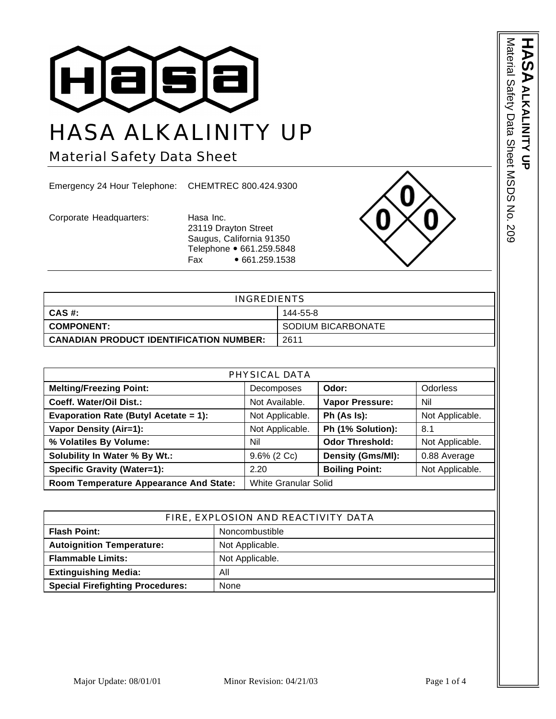

## HASA ALKALINITY UP

Material Safety Data Sheet

Emergency 24 Hour Telephone: CHEMTREC 800.424.9300

Corporate Headquarters: Hasa Inc.

23119 Drayton Street Saugus, California 91350 Telephone • 661.259.5848 Fax • 661.259.1538



| <b>INGREDIENTS</b>                             |                    |
|------------------------------------------------|--------------------|
| CAS #:                                         | 144-55-8           |
| <b>I COMPONENT:</b>                            | SODIUM BICARBONATE |
| <b>CANADIAN PRODUCT IDENTIFICATION NUMBER:</b> | 2611               |

| PHYSICAL DATA                          |                             |                        |                 |
|----------------------------------------|-----------------------------|------------------------|-----------------|
| <b>Melting/Freezing Point:</b>         | <b>Decomposes</b>           | Odor:                  | <b>Odorless</b> |
| Coeff. Water/Oil Dist.:                | Not Available.              | Vapor Pressure:        | Nil             |
| Evaporation Rate (Butyl Acetate = 1):  | Not Applicable.             | Ph (As Is):            | Not Applicable. |
| Vapor Density (Air=1):                 | Not Applicable.             | Ph (1% Solution):      | 8.1             |
| % Volatiles By Volume:                 | Nil                         | <b>Odor Threshold:</b> | Not Applicable. |
| Solubility In Water % By Wt.:          | $9.6\%$ (2 Cc)              | Density (Gms/MI):      | 0.88 Average    |
| <b>Specific Gravity (Water=1):</b>     | 2.20                        | <b>Boiling Point:</b>  | Not Applicable. |
| Room Temperature Appearance And State: | <b>White Granular Solid</b> |                        |                 |

| FIRE, EXPLOSION AND REACTIVITY DATA             |                 |
|-------------------------------------------------|-----------------|
| <b>Flash Point:</b><br>Noncombustible           |                 |
| <b>Autoignition Temperature:</b>                | Not Applicable. |
| <b>Flammable Limits:</b>                        | Not Applicable. |
| <b>Extinguishing Media:</b><br>All              |                 |
| <b>Special Firefighting Procedures:</b><br>None |                 |

Material Safety Data Sheet MSDS No. 209 Material Safety Data Sheet MSDS No. 209 **HASA ALKALINITY UP ALKALINITY UP**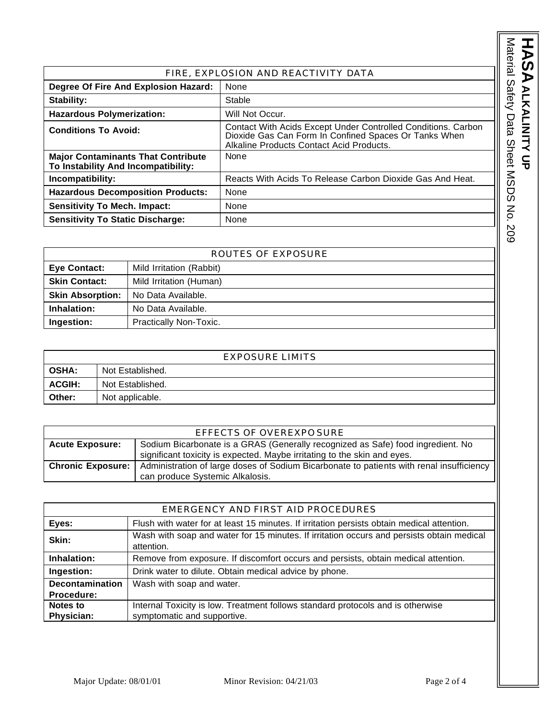| FIRE, EXPLOSION AND REACTIVITY DATA                                              |                                                                                                                                                                    |
|----------------------------------------------------------------------------------|--------------------------------------------------------------------------------------------------------------------------------------------------------------------|
| Degree Of Fire And Explosion Hazard:                                             | None                                                                                                                                                               |
| Stability:                                                                       | Stable                                                                                                                                                             |
| <b>Hazardous Polymerization:</b>                                                 | Will Not Occur.                                                                                                                                                    |
| <b>Conditions To Avoid:</b>                                                      | Contact With Acids Except Under Controlled Conditions. Carbon<br>Dioxide Gas Can Form In Confined Spaces Or Tanks When<br>Alkaline Products Contact Acid Products. |
| <b>Major Contaminants That Contribute</b><br>To Instability And Incompatibility: | None                                                                                                                                                               |
| Incompatibility:                                                                 | Reacts With Acids To Release Carbon Dioxide Gas And Heat.                                                                                                          |
| <b>Hazardous Decomposition Products:</b>                                         | None                                                                                                                                                               |
| <b>Sensitivity To Mech. Impact:</b>                                              | None                                                                                                                                                               |
| <b>Sensitivity To Static Discharge:</b>                                          | None                                                                                                                                                               |

| ROUTES OF EXPOSURE                |                          |  |
|-----------------------------------|--------------------------|--|
| <b>Eye Contact:</b>               | Mild Irritation (Rabbit) |  |
| <b>Skin Contact:</b>              | Mild Irritation (Human)  |  |
| <b>Skin Absorption:</b>           | No Data Available.       |  |
| Inhalation:<br>No Data Available. |                          |  |
| Ingestion:                        | Practically Non-Toxic.   |  |

| <b>EXPOSURE LIMITS</b> |                  |
|------------------------|------------------|
| <b>OSHA:</b>           | Not Established. |
| <b>ACGIH:</b>          | Not Established. |
| Other:                 | Not applicable.  |

| EFFECTS OF OVEREXPO SURE |                                                                                          |  |
|--------------------------|------------------------------------------------------------------------------------------|--|
| <b>Acute Exposure:</b>   | Sodium Bicarbonate is a GRAS (Generally recognized as Safe) food ingredient. No          |  |
|                          | significant toxicity is expected. Maybe irritating to the skin and eyes.                 |  |
| <b>Chronic Exposure:</b> | Administration of large doses of Sodium Bicarbonate to patients with renal insufficiency |  |
|                          | can produce Systemic Alkalosis.                                                          |  |

| EMERGENCY AND FIRST AID PROCEDURES |                                                                                                         |
|------------------------------------|---------------------------------------------------------------------------------------------------------|
| Eyes:                              | Flush with water for at least 15 minutes. If irritation persists obtain medical attention.              |
| Skin:                              | Wash with soap and water for 15 minutes. If irritation occurs and persists obtain medical<br>attention. |
| Inhalation:                        | Remove from exposure. If discomfort occurs and persists, obtain medical attention.                      |
| Ingestion:                         | Drink water to dilute. Obtain medical advice by phone.                                                  |
| <b>Decontamination</b>             | Wash with soap and water.                                                                               |
| Procedure:                         |                                                                                                         |
| Notes to                           | Internal Toxicity is low. Treatment follows standard protocols and is otherwise                         |
| Physician:                         | symptomatic and supportive.                                                                             |

HASA<br>ALKALINITY UP

**ALKALINITY UP**

Material Safety Data Sheet MSDS No. 209

Material Safety Data Sheet MSDS No. 209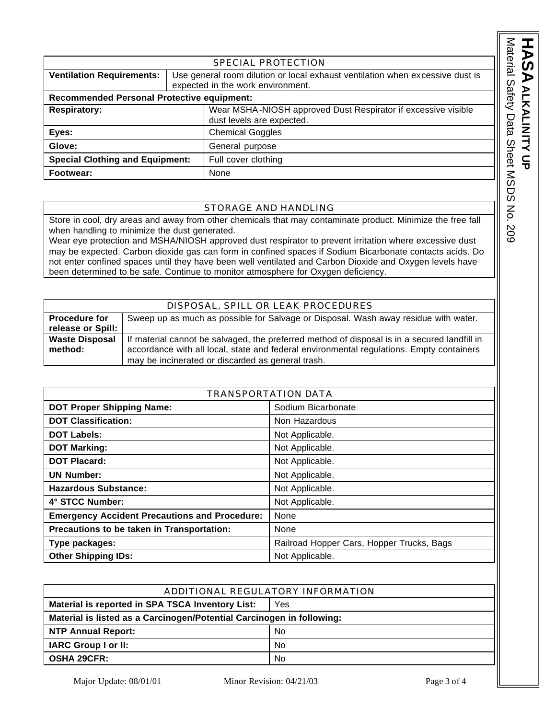|                                                                                                                                                        | SPECIAL PROTECTION                                                                                                                                                                                                    |  |
|--------------------------------------------------------------------------------------------------------------------------------------------------------|-----------------------------------------------------------------------------------------------------------------------------------------------------------------------------------------------------------------------|--|
| <b>Ventilation Requirements:</b><br>Use general room dilution or local exhaust ventilation when excessive dust is<br>expected in the work environment. |                                                                                                                                                                                                                       |  |
| <b>Recommended Personal Protective equipment:</b>                                                                                                      |                                                                                                                                                                                                                       |  |
| Wear MSHA-NIOSH approved Dust Respirator if excessive visible<br><b>Respiratory:</b><br>dust levels are expected.                                      |                                                                                                                                                                                                                       |  |
| Eyes:<br><b>Chemical Goggles</b>                                                                                                                       |                                                                                                                                                                                                                       |  |
| Glove:                                                                                                                                                 | General purpose                                                                                                                                                                                                       |  |
| <b>Special Clothing and Equipment:</b><br>Full cover clothing                                                                                          |                                                                                                                                                                                                                       |  |
| Footwear:<br>None                                                                                                                                      |                                                                                                                                                                                                                       |  |
|                                                                                                                                                        |                                                                                                                                                                                                                       |  |
| STORAGE AND HANDLING                                                                                                                                   |                                                                                                                                                                                                                       |  |
| when handling to minimize the dust generated.                                                                                                          | Store in cool, dry areas and away from other chemicals that may contaminate product. Minimize the free fall<br>Wear eve protection and MSHA/NIOSH approved dust respirator to prevent irritation where excessive dust |  |

## STORAGE AND HANDLING

Wear eye protection and MSHA/NIOSH approved dust respirator to prevent irritation where excessive dust may be expected. Carbon dioxide gas can form in confined spaces if Sodium Bicarbonate contacts acids. Do not enter confined spaces until they have been well ventilated and Carbon Dioxide and Oxygen levels have been determined to be safe. Continue to monitor atmosphere for Oxygen deficiency.

|                       | DISPOSAL, SPILL OR LEAK PROCEDURES                                                           |
|-----------------------|----------------------------------------------------------------------------------------------|
| <b>Procedure for</b>  | Sweep up as much as possible for Salvage or Disposal. Wash away residue with water.          |
| release or Spill:     |                                                                                              |
| <b>Waste Disposal</b> | If material cannot be salvaged, the preferred method of disposal is in a secured landfill in |
| method:               | accordance with all local, state and federal environmental regulations. Empty containers     |
|                       | may be incinerated or discarded as general trash.                                            |

| <b>TRANSPORTATION DATA</b>                           |                                           |  |
|------------------------------------------------------|-------------------------------------------|--|
| <b>DOT Proper Shipping Name:</b>                     | Sodium Bicarbonate                        |  |
| <b>DOT Classification:</b>                           | Non Hazardous                             |  |
| <b>DOT Labels:</b>                                   | Not Applicable.                           |  |
| <b>DOT Marking:</b>                                  | Not Applicable.                           |  |
| <b>DOT Placard:</b>                                  | Not Applicable.                           |  |
| <b>UN Number:</b>                                    | Not Applicable.                           |  |
| <b>Hazardous Substance:</b>                          | Not Applicable.                           |  |
| 4° STCC Number:                                      | Not Applicable.                           |  |
| <b>Emergency Accident Precautions and Procedure:</b> | None                                      |  |
| Precautions to be taken in Transportation:           | None                                      |  |
| Type packages:                                       | Railroad Hopper Cars, Hopper Trucks, Bags |  |
| <b>Other Shipping IDs:</b>                           | Not Applicable.                           |  |

| ADDITIONAL REGULATORY INFORMATION                                     |           |  |
|-----------------------------------------------------------------------|-----------|--|
| Material is reported in SPA TSCA Inventory List:<br>Yes               |           |  |
| Material is listed as a Carcinogen/Potential Carcinogen in following: |           |  |
| <b>NTP Annual Report:</b>                                             | <b>No</b> |  |
| <b>IARC Group I or II:</b>                                            | <b>No</b> |  |
| <b>OSHA 29CFR:</b>                                                    | <b>No</b> |  |

**ASA**<br>ASA<br>ALKALININ

**ALKALINITY UP**